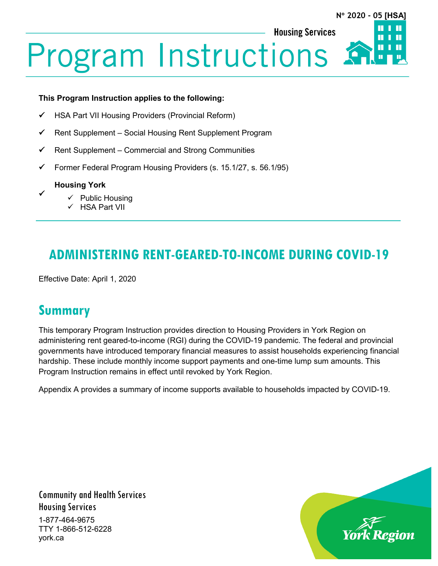П

**Housing Services** 

**Program Instructions** 

#### **This Program Instruction applies to the following:**

- HSA Part VII Housing Providers (Provincial Reform)
- $\checkmark$  Rent Supplement Social Housing Rent Supplement Program
- $\checkmark$  Rent Supplement Commercial and Strong Communities
- Former Federal Program Housing Providers (s. 15.1/27, s. 56.1/95)

#### **Housing York**

 $\checkmark$ 

- $\checkmark$  Public Housing
- $\checkmark$  HSA Part VII

# **ADMINISTERING RENT-GEARED-TO-INCOME DURING COVID-19**

Effective Date: April 1, 2020

## **Summary**

This temporary Program Instruction provides direction to Housing Providers in York Region on administering rent geared-to-income (RGI) during the COVID-19 pandemic. The federal and provincial governments have introduced temporary financial measures to assist households experiencing financial hardship. These include monthly income support payments and one-time lump sum amounts. This Program Instruction remains in effect until revoked by York Region.

Appendix A provides a summary of income supports available to households impacted by COVID-19.

Community and Health Services Housing Services 1-877-464-9675 TTY 1-866-512-6228 york.ca

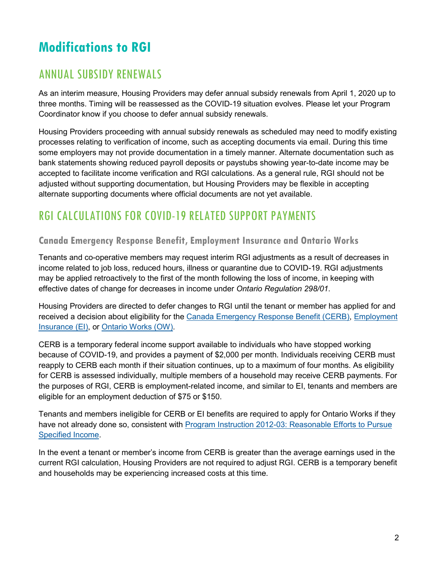# **Modifications to RGI**

## ANNUAL SUBSIDY RENEWALS

As an interim measure, Housing Providers may defer annual subsidy renewals from April 1, 2020 up to three months. Timing will be reassessed as the COVID-19 situation evolves. Please let your Program Coordinator know if you choose to defer annual subsidy renewals.

Housing Providers proceeding with annual subsidy renewals as scheduled may need to modify existing processes relating to verification of income, such as accepting documents via email. During this time some employers may not provide documentation in a timely manner. Alternate documentation such as bank statements showing reduced payroll deposits or paystubs showing year-to-date income may be accepted to facilitate income verification and RGI calculations. As a general rule, RGI should not be adjusted without supporting documentation, but Housing Providers may be flexible in accepting alternate supporting documents where official documents are not yet available.

## RGI CALCULATIONS FOR COVID-19 RELATED SUPPORT PAYMENTS

#### **Canada Emergency Response Benefit, Employment Insurance and Ontario Works**

Tenants and co-operative members may request interim RGI adjustments as a result of decreases in income related to job loss, reduced hours, illness or quarantine due to COVID-19. RGI adjustments may be applied retroactively to the first of the month following the loss of income, in keeping with effective dates of change for decreases in income under *Ontario Regulation 298/01*.

Housing Providers are directed to defer changes to RGI until the tenant or member has applied for and received a decision about eligibility for the [Canada Emergency Response Benefit \(CERB\),](https://www.canada.ca/en/services/benefits/ei/cerb-application.html) [Employment](https://www.canada.ca/en/services/benefits/ei.html)  [Insurance \(EI\),](https://www.canada.ca/en/services/benefits/ei.html) or [Ontario Works](https://www.york.ca/wps/portal/yorkhome/support/yr/ontarioworks/!ut/p/z1/jZBBT8MwDIV_C4ce13ihrBG3qBuk3aaCEKLkglLUphVdXKWBCH490eCCBB2-2fre87OJJBWRRr31WrkejRpC_yhXTzm_zoXYQlEmLAMOJS9oymCzS8nDEYA_igOR_9HPAHLevji1IFxA7T7bayJH5bpFb1okFRqnbI8e7csUMsijC6XJSiwzKECUDPKr9OZizcQSbpMTwJZ-A_NB9YD110-5qc9ZSGSbtrGNjV9tGHfOjdNlBBF472ONqIcmfsZDBL9JOpwcqX6SZDzcVx-79i5fyPrd87NPMiIvXA!!/dz/d5/L2dBISEvZ0FBIS9nQSEh/#.XqMwXv9Kg2w) (OW).

CERB is a temporary federal income support available to individuals who have stopped working because of COVID-19, and provides a payment of \$2,000 per month. Individuals receiving CERB must reapply to CERB each month if their situation continues, up to a maximum of four months. As eligibility for CERB is assessed individually, multiple members of a household may receive CERB payments. For the purposes of RGI, CERB is employment-related income, and similar to EI, tenants and members are eligible for an employment deduction of \$75 or \$150.

Tenants and members ineligible for CERB or EI benefits are required to apply for Ontario Works if they have not already done so, consistent with Program Instruction [2012-03: Reasonable Efforts to Pursue](https://www.york.ca/wps/wcm/connect/yorkpublic/5c54acfc-f789-44e0-ba26-ae36f8f77937/2012-03+Reasonable+Efforts+to+Pursue+Specified+Income+PI.pdf?MOD=AJPERES&CVID=mu87fEl)  [Specified Income.](https://www.york.ca/wps/wcm/connect/yorkpublic/5c54acfc-f789-44e0-ba26-ae36f8f77937/2012-03+Reasonable+Efforts+to+Pursue+Specified+Income+PI.pdf?MOD=AJPERES&CVID=mu87fEl)

In the event a tenant or member's income from CERB is greater than the average earnings used in the current RGI calculation, Housing Providers are not required to adjust RGI. CERB is a temporary benefit and households may be experiencing increased costs at this time.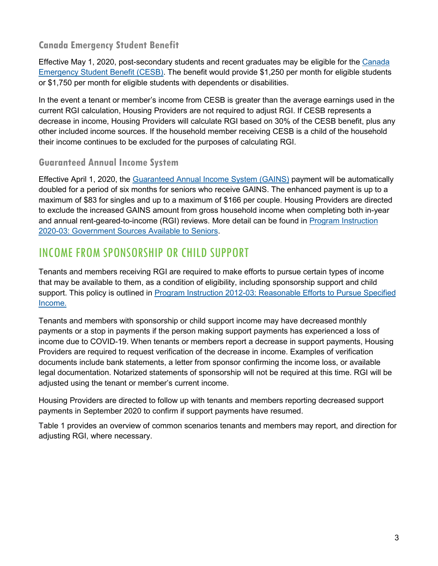#### **Canada Emergency Student Benefit**

Effective May 1, 2020, post-secondary students and recent graduates may be eligible for the [Canada](https://www.canada.ca/en/department-finance/news/2020/04/support-for-students-and-recent-graduates-impacted-by-covid-19.html)  [Emergency Student Benefit \(CESB\).](https://www.canada.ca/en/department-finance/news/2020/04/support-for-students-and-recent-graduates-impacted-by-covid-19.html) The benefit would provide \$1,250 per month for eligible students or \$1,750 per month for eligible students with dependents or disabilities.

In the event a tenant or member's income from CESB is greater than the average earnings used in the current RGI calculation, Housing Providers are not required to adjust RGI. If CESB represents a decrease in income, Housing Providers will calculate RGI based on 30% of the CESB benefit, plus any other included income sources. If the household member receiving CESB is a child of the household their income continues to be excluded for the purposes of calculating RGI.

#### **Guaranteed Annual Income System**

Effective April 1, 2020, the [Guaranteed Annual Income System \(GAINS\)](https://www.ontario.ca/page/guaranteed-annual-income-system-payments-seniors) payment will be automatically doubled for a period of six months for seniors who receive GAINS. The enhanced payment is up to a maximum of \$83 for singles and up to a maximum of \$166 per couple. Housing Providers are directed to exclude the increased GAINS amount from gross household income when completing both in-year and annual rent-geared-to-income (RGI) reviews. More detail can be found in [Program Instruction](https://www.york.ca/wps/wcm/connect/yorkpublic/91de0ba6-9ddb-41d7-bc15-ed02a3fe7ad3/Program+Instructions+-+2020-03+Government+Income+Sources+Available+to+Seniors+%28Housing+Services+Act%29+2020+Second+Quarter.pdf?MOD=AJPERES&CVID=n6DrQ-Z)  [2020-03: Government Sources Available to Seniors.](https://www.york.ca/wps/wcm/connect/yorkpublic/91de0ba6-9ddb-41d7-bc15-ed02a3fe7ad3/Program+Instructions+-+2020-03+Government+Income+Sources+Available+to+Seniors+%28Housing+Services+Act%29+2020+Second+Quarter.pdf?MOD=AJPERES&CVID=n6DrQ-Z)

#### INCOME FROM SPONSORSHIP OR CHILD SUPPORT

Tenants and members receiving RGI are required to make efforts to pursue certain types of income that may be available to them, as a condition of eligibility, including sponsorship support and child support. This policy is outlined in Program Instruction [2012-03: Reasonable Efforts to Pursue Specified](https://www.york.ca/wps/wcm/connect/yorkpublic/5c54acfc-f789-44e0-ba26-ae36f8f77937/2012-03+Reasonable+Efforts+to+Pursue+Specified+Income+PI.pdf?MOD=AJPERES&CVID=mu87fEl)  [Income.](https://www.york.ca/wps/wcm/connect/yorkpublic/5c54acfc-f789-44e0-ba26-ae36f8f77937/2012-03+Reasonable+Efforts+to+Pursue+Specified+Income+PI.pdf?MOD=AJPERES&CVID=mu87fEl)

Tenants and members with sponsorship or child support income may have decreased monthly payments or a stop in payments if the person making support payments has experienced a loss of income due to COVID-19. When tenants or members report a decrease in support payments, Housing Providers are required to request verification of the decrease in income. Examples of verification documents include bank statements, a letter from sponsor confirming the income loss, or available legal documentation. Notarized statements of sponsorship will not be required at this time. RGI will be adjusted using the tenant or member's current income.

Housing Providers are directed to follow up with tenants and members reporting decreased support payments in September 2020 to confirm if support payments have resumed.

Table 1 provides an overview of common scenarios tenants and members may report, and direction for adjusting RGI, where necessary.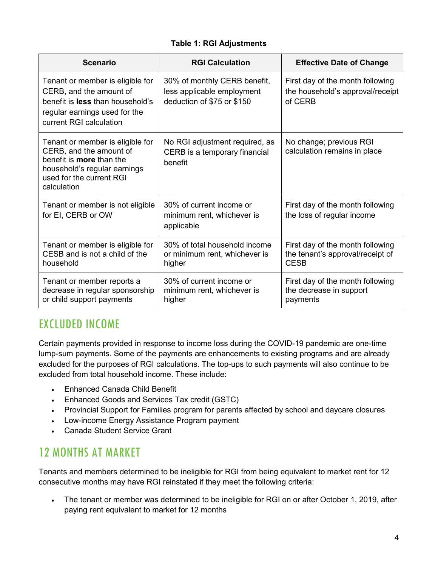#### **Table 1: RGI Adjustments**

| <b>Scenario</b>                                                                                                                                                           | <b>RGI Calculation</b>                                                                   | <b>Effective Date of Change</b>                                                     |
|---------------------------------------------------------------------------------------------------------------------------------------------------------------------------|------------------------------------------------------------------------------------------|-------------------------------------------------------------------------------------|
| Tenant or member is eligible for<br>CERB, and the amount of<br>benefit is less than household's<br>regular earnings used for the<br>current RGI calculation               | 30% of monthly CERB benefit,<br>less applicable employment<br>deduction of \$75 or \$150 | First day of the month following<br>the household's approval/receipt<br>of CERB     |
| Tenant or member is eligible for<br>CERB, and the amount of<br>benefit is <b>more</b> than the<br>household's regular earnings<br>used for the current RGI<br>calculation | No RGI adjustment required, as<br>CERB is a temporary financial<br>benefit               | No change; previous RGI<br>calculation remains in place                             |
| Tenant or member is not eligible<br>for EI, CERB or OW                                                                                                                    | 30% of current income or<br>minimum rent, whichever is<br>applicable                     | First day of the month following<br>the loss of regular income                      |
| Tenant or member is eligible for<br>CESB and is not a child of the<br>household                                                                                           | 30% of total household income<br>or minimum rent, whichever is<br>higher                 | First day of the month following<br>the tenant's approval/receipt of<br><b>CESB</b> |
| Tenant or member reports a<br>decrease in regular sponsorship<br>or child support payments                                                                                | 30% of current income or<br>minimum rent, whichever is<br>higher                         | First day of the month following<br>the decrease in support<br>payments             |

#### EXCLUDED INCOME

Certain payments provided in response to income loss during the COVID-19 pandemic are one-time lump-sum payments. Some of the payments are enhancements to existing programs and are already excluded for the purposes of RGI calculations. The top-ups to such payments will also continue to be excluded from total household income. These include:

- Enhanced Canada Child Benefit
- Enhanced Goods and Services Tax credit (GSTC)
- Provincial Support for Families program for parents affected by school and daycare closures
- Low-income Energy Assistance Program payment
- Canada Student Service Grant

## 12 MONTHS AT MARKET

Tenants and members determined to be ineligible for RGI from being equivalent to market rent for 12 consecutive months may have RGI reinstated if they meet the following criteria:

• The tenant or member was determined to be ineligible for RGI on or after October 1, 2019, after paying rent equivalent to market for 12 months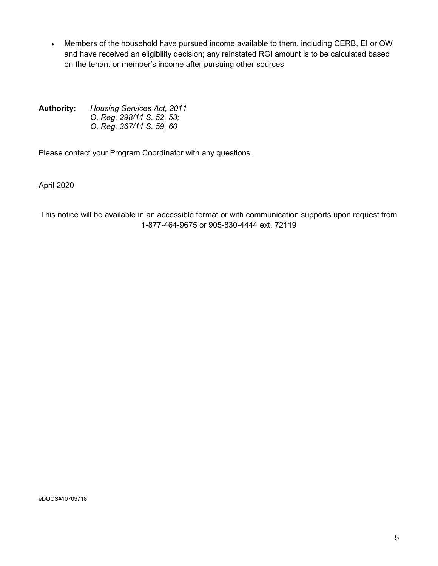• Members of the household have pursued income available to them, including CERB, EI or OW and have received an eligibility decision; any reinstated RGI amount is to be calculated based on the tenant or member's income after pursuing other sources

**Authority:** *Housing Services Act, 2011 O. Reg. 298/11 S. 52, 53; O. Reg. 367/11 S. 59, 60*

Please contact your Program Coordinator with any questions.

April 2020

This notice will be available in an accessible format or with communication supports upon request from 1-877-464-9675 or 905-830-4444 ext. 72119

eDOCS#10709718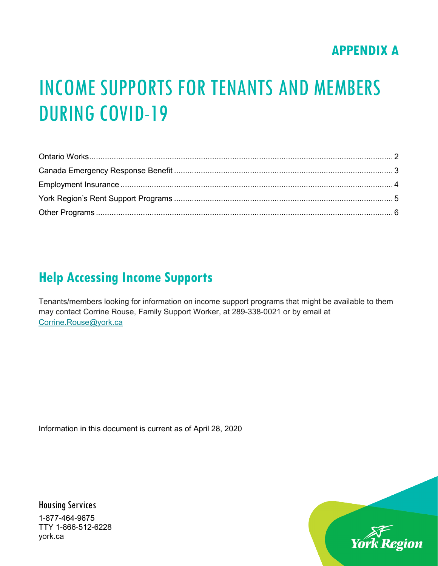# **APPENDIX A**

# INCOME SUPPORTS FOR TENANTS AND MEMBERS DURING COVID-19

# **Help Accessing Income Supports**

Tenants/members looking for information on income support programs that might be available to them may contact Corrine Rouse, Family Support Worker, at 289-338-0021 or by email at [Corrine.Rouse@york.ca](mailto:Corrine.Rouse@york.ca)

<span id="page-5-0"></span>Information in this document is current as of April 28, 2020

Housing Services 1-877-464-9675 TTY 1-866-512-6228 york.ca

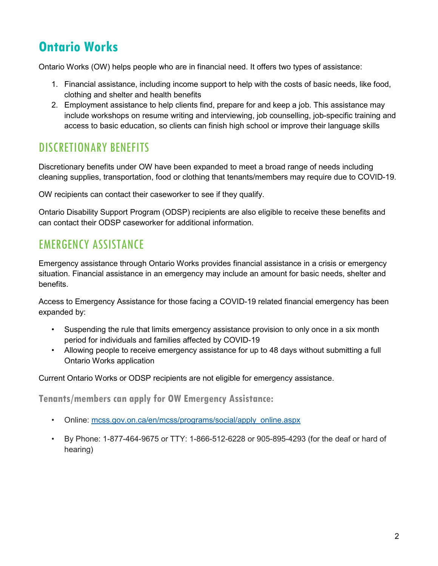# **Ontario Works**

Ontario Works (OW) helps people who are in financial need. It offers two types of assistance:

- 1. Financial assistance, including income support to help with the costs of basic needs, like food, clothing and shelter and health benefits
- 2. Employment assistance to help clients find, prepare for and keep a job. This assistance may include workshops on resume writing and interviewing, job counselling, job-specific training and access to basic education, so clients can finish high school or improve their language skills

## DISCRETIONARY BENEFITS

Discretionary benefits under OW have been expanded to meet a broad range of needs including cleaning supplies, transportation, food or clothing that tenants/members may require due to COVID-19.

OW recipients can contact their caseworker to see if they qualify.

Ontario Disability Support Program (ODSP) recipients are also eligible to receive these benefits and can contact their ODSP caseworker for additional information.

## EMERGENCY ASSISTANCE

Emergency assistance through Ontario Works provides financial assistance in a crisis or emergency situation. Financial assistance in an emergency may include an amount for basic needs, shelter and benefits.

Access to Emergency Assistance for those facing a COVID-19 related financial emergency has been expanded by:

- Suspending the rule that limits emergency assistance provision to only once in a six month period for individuals and families affected by COVID-19
- Allowing people to receive emergency assistance for up to 48 days without submitting a full Ontario Works application

Current Ontario Works or ODSP recipients are not eligible for emergency assistance.

**Tenants/members can apply for OW Emergency Assistance:**

- Online: mcss.gov.on.ca/en/mcss/programs/social/apply\_online.aspx
- By Phone: 1-877-464-9675 or TTY: 1-866-512-6228 or 905-895-4293 (for the deaf or hard of hearing)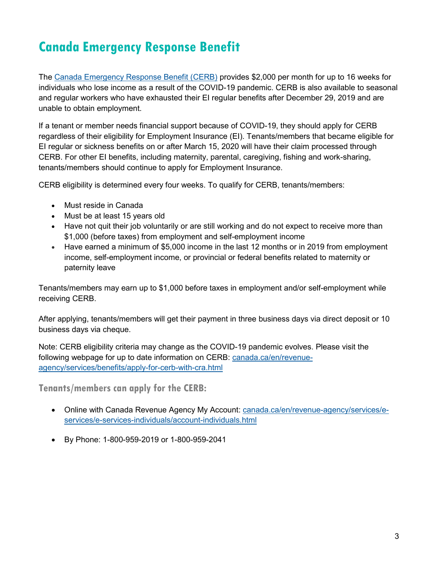# <span id="page-7-0"></span>**Canada Emergency Response Benefit**

The [Canada Emergency Response Benefit \(CERB\)](https://www.canada.ca/en/revenue-agency/services/benefits/apply-for-cerb-with-cra.html) provides \$2,000 per month for up to 16 weeks for individuals who lose income as a result of the COVID-19 pandemic. CERB is also available to seasonal and regular workers who have exhausted their EI regular benefits after December 29, 2019 and are unable to obtain employment.

If a tenant or member needs financial support because of COVID-19, they should apply for CERB regardless of their eligibility for Employment Insurance (EI). Tenants/members that became eligible for EI regular or sickness benefits on or after March 15, 2020 will have their claim processed through CERB. For other EI benefits, including maternity, parental, caregiving, fishing and work-sharing, tenants/members should continue to apply for Employment Insurance.

CERB eligibility is determined every four weeks. To qualify for CERB, tenants/members:

- Must reside in Canada
- Must be at least 15 years old
- Have not quit their job voluntarily or are still working and do not expect to receive more than \$1,000 (before taxes) from employment and self-employment income
- Have earned a minimum of \$5,000 income in the last 12 months or in 2019 from employment income, self-employment income, or provincial or federal benefits related to maternity or paternity leave

Tenants/members may earn up to \$1,000 before taxes in employment and/or self-employment while receiving CERB.

After applying, tenants/members will get their payment in three business days via direct deposit or 10 business days via cheque.

Note: CERB eligibility criteria may change as the COVID-19 pandemic evolves. Please visit the following webpage for up to date information on CERB: canada.ca/en/revenueagency/services/benefits/apply-for-cerb-with-cra.html

**Tenants/members can apply for the CERB:**

- Online with Canada Revenue Agency My Account: canada.ca/en/revenue-agency/services/eservices/e-services-individuals/account-individuals.html
- By Phone: 1-800-959-2019 or 1-800-959-2041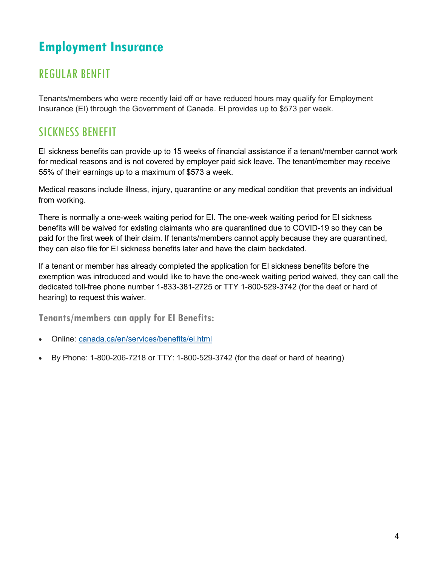# <span id="page-8-0"></span>**Employment Insurance**

## REGULAR BENFIT

Tenants/members who were recently laid off or have reduced hours may qualify for Employment Insurance (EI) through the Government of Canada. EI provides up to \$573 per week.

## SICKNESS BENEFIT

EI sickness benefits can provide up to 15 weeks of financial assistance if a tenant/member cannot work for medical reasons and is not covered by employer paid sick leave. The tenant/member may receive 55% of their earnings up to a maximum of \$573 a week.

Medical reasons include illness, injury, quarantine or any medical condition that prevents an individual from working.

There is normally a one-week waiting period for EI. The one-week waiting period for EI sickness benefits will be waived for existing claimants who are quarantined due to COVID-19 so they can be paid for the first week of their claim. If tenants/members cannot apply because they are quarantined, they can also file for EI sickness benefits later and have the claim backdated.

If a tenant or member has already completed the application for EI sickness benefits before the exemption was introduced and would like to have the one-week waiting period waived, they can call the dedicated toll-free phone number 1-833-381-2725 or TTY 1-800-529-3742 (for the deaf or hard of hearing) to request this waiver.

**Tenants/members can apply for EI Benefits:**

- Online: canada.ca/en/services/benefits/ei.html
- By Phone: 1-800-206-7218 or TTY: 1-800-529-3742 (for the deaf or hard of hearing)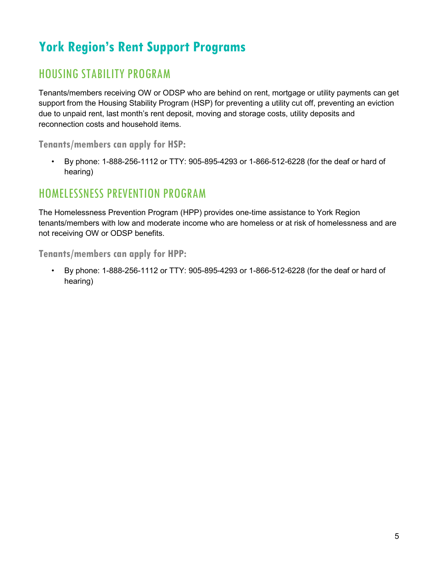# <span id="page-9-0"></span>**York Region's Rent Support Programs**

#### HOUSING STABILITY PROGRAM

Tenants/members receiving OW or ODSP who are behind on rent, mortgage or utility payments can get support from the Housing Stability Program (HSP) for preventing a utility cut off, preventing an eviction due to unpaid rent, last month's rent deposit, moving and storage costs, utility deposits and reconnection costs and household items.

**Tenants/members can apply for HSP:**

• By phone: 1-888-256-1112 or TTY: 905-895-4293 or 1-866-512-6228 (for the deaf or hard of hearing)

#### HOMELESSNESS PREVENTION PROGRAM

The Homelessness Prevention Program (HPP) provides one-time assistance to York Region tenants/members with low and moderate income who are homeless or at risk of homelessness and are not receiving OW or ODSP benefits.

**Tenants/members can apply for HPP:**

• By phone: 1-888-256-1112 or TTY: 905-895-4293 or 1-866-512-6228 (for the deaf or hard of hearing)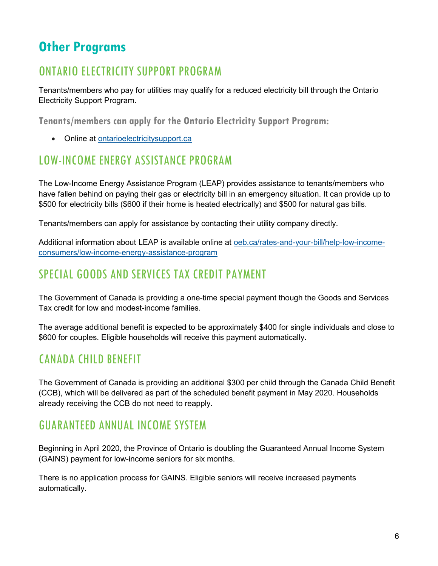# <span id="page-10-0"></span>**Other Programs**

## ONTARIO ELECTRICITY SUPPORT PROGRAM

Tenants/members who pay for utilities may qualify for a reduced electricity bill through the Ontario Electricity Support Program.

**Tenants/members can apply for the Ontario Electricity Support Program:**

• Online at ontarioelectricitysupport.ca

#### LOW-INCOME ENERGY ASSISTANCE PROGRAM

The Low-Income Energy Assistance Program (LEAP) provides assistance to tenants/members who have fallen behind on paying their gas or electricity bill in an emergency situation. It can provide up to \$500 for electricity bills (\$600 if their home is heated electrically) and \$500 for natural gas bills.

Tenants/members can apply for assistance by contacting their utility company directly.

Additional information about LEAP is available online at oeb.ca/rates-and-your-bill/help-low-incomeconsumers/low-income-energy-assistance-program

#### SPECIAL GOODS AND SERVICES TAX CREDIT PAYMENT

The Government of Canada is providing a one-time special payment though the Goods and Services Tax credit for low and modest-income families.

The average additional benefit is expected to be approximately \$400 for single individuals and close to \$600 for couples. Eligible households will receive this payment automatically.

## CANADA CHILD BENEFIT

The Government of Canada is providing an additional \$300 per child through the Canada Child Benefit (CCB), which will be delivered as part of the scheduled benefit payment in May 2020. Households already receiving the CCB do not need to reapply.

#### GUARANTEED ANNUAL INCOME SYSTEM

Beginning in April 2020, the Province of Ontario is doubling the Guaranteed Annual Income System (GAINS) payment for low-income seniors for six months.

There is no application process for GAINS. Eligible seniors will receive increased payments automatically.